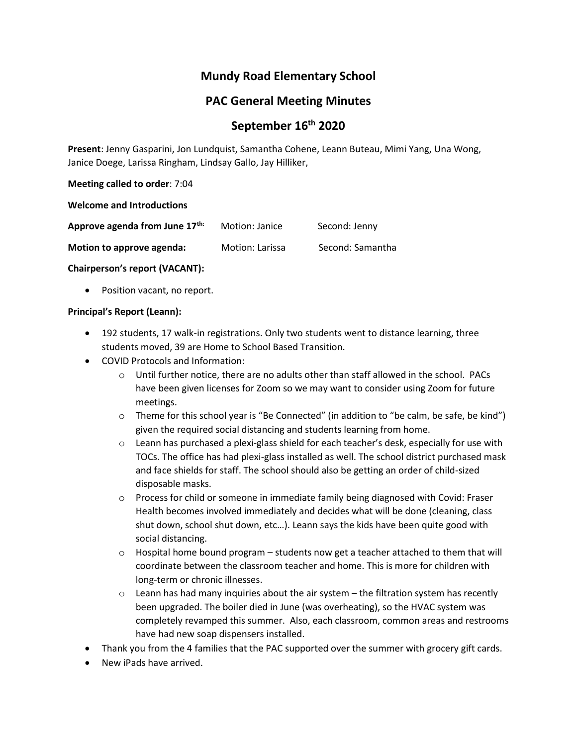# **Mundy Road Elementary School**

# **PAC General Meeting Minutes**

# **September 16th 2020**

**Present**: Jenny Gasparini, Jon Lundquist, Samantha Cohene, Leann Buteau, Mimi Yang, Una Wong, Janice Doege, Larissa Ringham, Lindsay Gallo, Jay Hilliker,

**Meeting called to order**: 7:04

**Welcome and Introductions**

| Approve agenda from June 17th: | Motion: Janice  | Second: Jenny    |
|--------------------------------|-----------------|------------------|
| Motion to approve agenda:      | Motion: Larissa | Second: Samantha |

**Chairperson's report (VACANT):**

• Position vacant, no report.

### **Principal's Report (Leann):**

- 192 students, 17 walk-in registrations. Only two students went to distance learning, three students moved, 39 are Home to School Based Transition.
- COVID Protocols and Information:
	- $\circ$  Until further notice, there are no adults other than staff allowed in the school. PACs have been given licenses for Zoom so we may want to consider using Zoom for future meetings.
	- $\circ$  Theme for this school year is "Be Connected" (in addition to "be calm, be safe, be kind") given the required social distancing and students learning from home.
	- $\circ$  Leann has purchased a plexi-glass shield for each teacher's desk, especially for use with TOCs. The office has had plexi-glass installed as well. The school district purchased mask and face shields for staff. The school should also be getting an order of child-sized disposable masks.
	- o Process for child or someone in immediate family being diagnosed with Covid: Fraser Health becomes involved immediately and decides what will be done (cleaning, class shut down, school shut down, etc…). Leann says the kids have been quite good with social distancing.
	- $\circ$  Hospital home bound program students now get a teacher attached to them that will coordinate between the classroom teacher and home. This is more for children with long-term or chronic illnesses.
	- $\circ$  Leann has had many inquiries about the air system the filtration system has recently been upgraded. The boiler died in June (was overheating), so the HVAC system was completely revamped this summer. Also, each classroom, common areas and restrooms have had new soap dispensers installed.
- Thank you from the 4 families that the PAC supported over the summer with grocery gift cards.
- New iPads have arrived.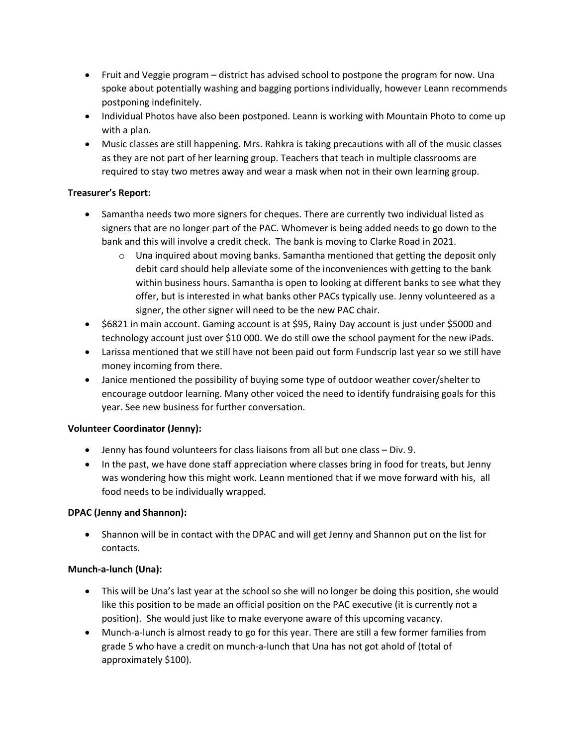- Fruit and Veggie program district has advised school to postpone the program for now. Una spoke about potentially washing and bagging portions individually, however Leann recommends postponing indefinitely.
- Individual Photos have also been postponed. Leann is working with Mountain Photo to come up with a plan.
- Music classes are still happening. Mrs. Rahkra is taking precautions with all of the music classes as they are not part of her learning group. Teachers that teach in multiple classrooms are required to stay two metres away and wear a mask when not in their own learning group.

# **Treasurer's Report:**

- Samantha needs two more signers for cheques. There are currently two individual listed as signers that are no longer part of the PAC. Whomever is being added needs to go down to the bank and this will involve a credit check. The bank is moving to Clarke Road in 2021.
	- $\circ$  Una inquired about moving banks. Samantha mentioned that getting the deposit only debit card should help alleviate some of the inconveniences with getting to the bank within business hours. Samantha is open to looking at different banks to see what they offer, but is interested in what banks other PACs typically use. Jenny volunteered as a signer, the other signer will need to be the new PAC chair.
- \$6821 in main account. Gaming account is at \$95, Rainy Day account is just under \$5000 and technology account just over \$10 000. We do still owe the school payment for the new iPads.
- Larissa mentioned that we still have not been paid out form Fundscrip last year so we still have money incoming from there.
- Janice mentioned the possibility of buying some type of outdoor weather cover/shelter to encourage outdoor learning. Many other voiced the need to identify fundraising goals for this year. See new business for further conversation.

# **Volunteer Coordinator (Jenny):**

- Jenny has found volunteers for class liaisons from all but one class Div. 9.
- In the past, we have done staff appreciation where classes bring in food for treats, but Jenny was wondering how this might work. Leann mentioned that if we move forward with his, all food needs to be individually wrapped.

### **DPAC (Jenny and Shannon):**

• Shannon will be in contact with the DPAC and will get Jenny and Shannon put on the list for contacts.

### **Munch-a-lunch (Una):**

- This will be Una's last year at the school so she will no longer be doing this position, she would like this position to be made an official position on the PAC executive (it is currently not a position). She would just like to make everyone aware of this upcoming vacancy.
- Munch-a-lunch is almost ready to go for this year. There are still a few former families from grade 5 who have a credit on munch-a-lunch that Una has not got ahold of (total of approximately \$100).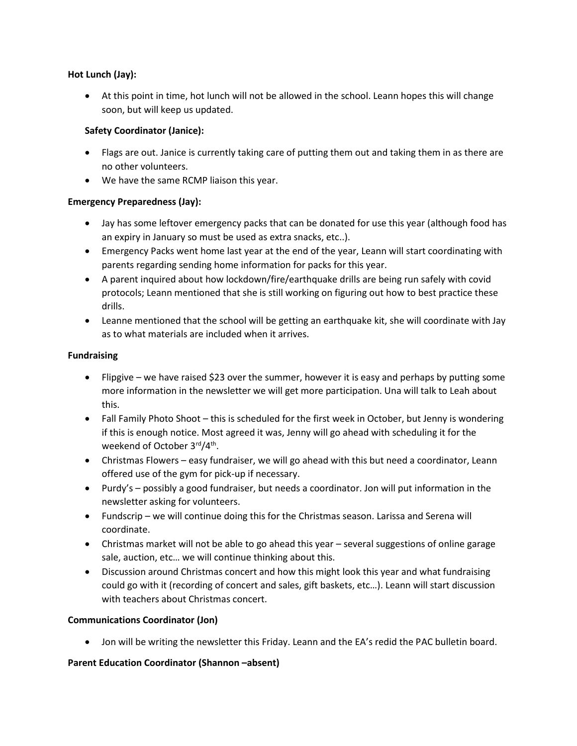## **Hot Lunch (Jay):**

• At this point in time, hot lunch will not be allowed in the school. Leann hopes this will change soon, but will keep us updated.

# **Safety Coordinator (Janice):**

- Flags are out. Janice is currently taking care of putting them out and taking them in as there are no other volunteers.
- We have the same RCMP liaison this year.

# **Emergency Preparedness (Jay):**

- Jay has some leftover emergency packs that can be donated for use this year (although food has an expiry in January so must be used as extra snacks, etc..).
- Emergency Packs went home last year at the end of the year, Leann will start coordinating with parents regarding sending home information for packs for this year.
- A parent inquired about how lockdown/fire/earthquake drills are being run safely with covid protocols; Leann mentioned that she is still working on figuring out how to best practice these drills.
- Leanne mentioned that the school will be getting an earthquake kit, she will coordinate with Jay as to what materials are included when it arrives.

## **Fundraising**

- Flipgive we have raised \$23 over the summer, however it is easy and perhaps by putting some more information in the newsletter we will get more participation. Una will talk to Leah about this.
- Fall Family Photo Shoot this is scheduled for the first week in October, but Jenny is wondering if this is enough notice. Most agreed it was, Jenny will go ahead with scheduling it for the weekend of October 3<sup>rd</sup>/4<sup>th</sup>.
- Christmas Flowers easy fundraiser, we will go ahead with this but need a coordinator, Leann offered use of the gym for pick-up if necessary.
- Purdy's possibly a good fundraiser, but needs a coordinator. Jon will put information in the newsletter asking for volunteers.
- Fundscrip we will continue doing this for the Christmas season. Larissa and Serena will coordinate.
- Christmas market will not be able to go ahead this year several suggestions of online garage sale, auction, etc… we will continue thinking about this.
- Discussion around Christmas concert and how this might look this year and what fundraising could go with it (recording of concert and sales, gift baskets, etc…). Leann will start discussion with teachers about Christmas concert.

# **Communications Coordinator (Jon)**

• Jon will be writing the newsletter this Friday. Leann and the EA's redid the PAC bulletin board.

# **Parent Education Coordinator (Shannon –absent)**